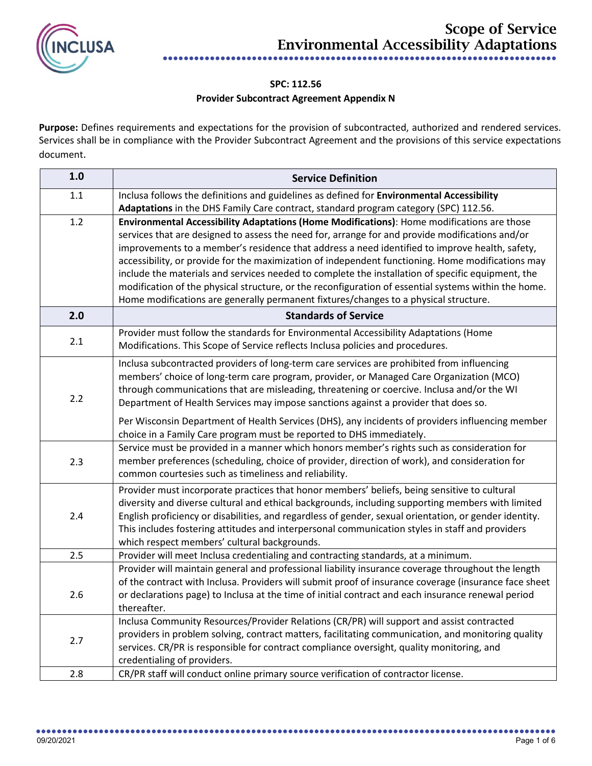

## **SPC: 112.56 Provider Subcontract Agreement Appendix N**

**Purpose:** Defines requirements and expectations for the provision of subcontracted, authorized and rendered services. Services shall be in compliance with the Provider Subcontract Agreement and the provisions of this service expectations document.

| 1.0     | <b>Service Definition</b>                                                                                                                                                                                                                                                                                                                                                                                                                                                                                                                                                                                                                                                                                 |
|---------|-----------------------------------------------------------------------------------------------------------------------------------------------------------------------------------------------------------------------------------------------------------------------------------------------------------------------------------------------------------------------------------------------------------------------------------------------------------------------------------------------------------------------------------------------------------------------------------------------------------------------------------------------------------------------------------------------------------|
| $1.1\,$ | Inclusa follows the definitions and guidelines as defined for Environmental Accessibility<br>Adaptations in the DHS Family Care contract, standard program category (SPC) 112.56.                                                                                                                                                                                                                                                                                                                                                                                                                                                                                                                         |
| 1.2     | Environmental Accessibility Adaptations (Home Modifications): Home modifications are those<br>services that are designed to assess the need for, arrange for and provide modifications and/or<br>improvements to a member's residence that address a need identified to improve health, safety,<br>accessibility, or provide for the maximization of independent functioning. Home modifications may<br>include the materials and services needed to complete the installation of specific equipment, the<br>modification of the physical structure, or the reconfiguration of essential systems within the home.<br>Home modifications are generally permanent fixtures/changes to a physical structure. |
| 2.0     | <b>Standards of Service</b>                                                                                                                                                                                                                                                                                                                                                                                                                                                                                                                                                                                                                                                                               |
| 2.1     | Provider must follow the standards for Environmental Accessibility Adaptations (Home<br>Modifications. This Scope of Service reflects Inclusa policies and procedures.                                                                                                                                                                                                                                                                                                                                                                                                                                                                                                                                    |
| 2.2     | Inclusa subcontracted providers of long-term care services are prohibited from influencing<br>members' choice of long-term care program, provider, or Managed Care Organization (MCO)<br>through communications that are misleading, threatening or coercive. Inclusa and/or the WI<br>Department of Health Services may impose sanctions against a provider that does so.                                                                                                                                                                                                                                                                                                                                |
|         | Per Wisconsin Department of Health Services (DHS), any incidents of providers influencing member<br>choice in a Family Care program must be reported to DHS immediately.                                                                                                                                                                                                                                                                                                                                                                                                                                                                                                                                  |
| 2.3     | Service must be provided in a manner which honors member's rights such as consideration for<br>member preferences (scheduling, choice of provider, direction of work), and consideration for<br>common courtesies such as timeliness and reliability.                                                                                                                                                                                                                                                                                                                                                                                                                                                     |
| 2.4     | Provider must incorporate practices that honor members' beliefs, being sensitive to cultural<br>diversity and diverse cultural and ethical backgrounds, including supporting members with limited<br>English proficiency or disabilities, and regardless of gender, sexual orientation, or gender identity.<br>This includes fostering attitudes and interpersonal communication styles in staff and providers<br>which respect members' cultural backgrounds.                                                                                                                                                                                                                                            |
| 2.5     | Provider will meet Inclusa credentialing and contracting standards, at a minimum.                                                                                                                                                                                                                                                                                                                                                                                                                                                                                                                                                                                                                         |
| 2.6     | Provider will maintain general and professional liability insurance coverage throughout the length<br>of the contract with Inclusa. Providers will submit proof of insurance coverage (insurance face sheet<br>or declarations page) to Inclusa at the time of initial contract and each insurance renewal period<br>thereafter.                                                                                                                                                                                                                                                                                                                                                                          |
| 2.7     | Inclusa Community Resources/Provider Relations (CR/PR) will support and assist contracted<br>providers in problem solving, contract matters, facilitating communication, and monitoring quality<br>services. CR/PR is responsible for contract compliance oversight, quality monitoring, and<br>credentialing of providers.                                                                                                                                                                                                                                                                                                                                                                               |
| 2.8     | CR/PR staff will conduct online primary source verification of contractor license.                                                                                                                                                                                                                                                                                                                                                                                                                                                                                                                                                                                                                        |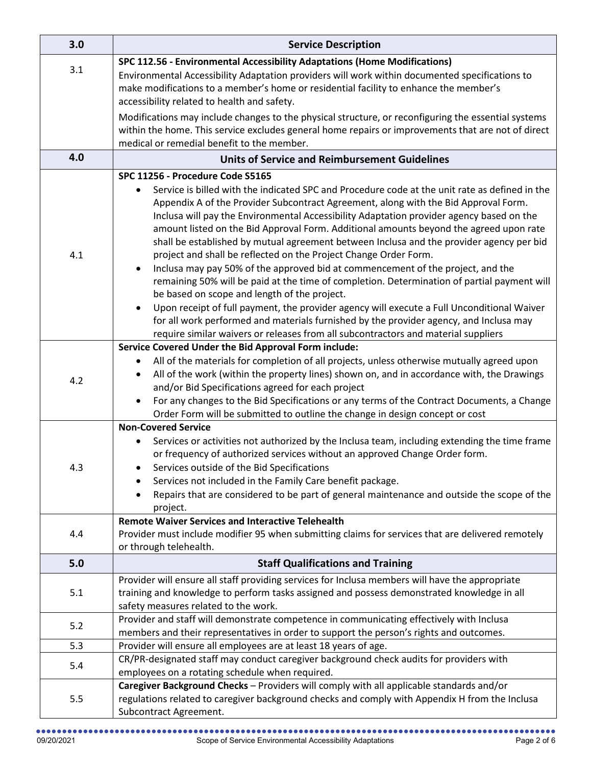| 3.0 | <b>Service Description</b>                                                                                                                          |
|-----|-----------------------------------------------------------------------------------------------------------------------------------------------------|
|     | SPC 112.56 - Environmental Accessibility Adaptations (Home Modifications)                                                                           |
| 3.1 | Environmental Accessibility Adaptation providers will work within documented specifications to                                                      |
|     | make modifications to a member's home or residential facility to enhance the member's                                                               |
|     | accessibility related to health and safety.                                                                                                         |
|     | Modifications may include changes to the physical structure, or reconfiguring the essential systems                                                 |
|     | within the home. This service excludes general home repairs or improvements that are not of direct                                                  |
|     | medical or remedial benefit to the member.                                                                                                          |
| 4.0 | <b>Units of Service and Reimbursement Guidelines</b>                                                                                                |
|     | SPC 11256 - Procedure Code S5165                                                                                                                    |
|     | Service is billed with the indicated SPC and Procedure code at the unit rate as defined in the                                                      |
|     | Appendix A of the Provider Subcontract Agreement, along with the Bid Approval Form.                                                                 |
|     | Inclusa will pay the Environmental Accessibility Adaptation provider agency based on the                                                            |
|     | amount listed on the Bid Approval Form. Additional amounts beyond the agreed upon rate                                                              |
| 4.1 | shall be established by mutual agreement between Inclusa and the provider agency per bid                                                            |
|     | project and shall be reflected on the Project Change Order Form.<br>Inclusa may pay 50% of the approved bid at commencement of the project, and the |
|     | remaining 50% will be paid at the time of completion. Determination of partial payment will                                                         |
|     | be based on scope and length of the project.                                                                                                        |
|     | Upon receipt of full payment, the provider agency will execute a Full Unconditional Waiver                                                          |
|     | for all work performed and materials furnished by the provider agency, and Inclusa may                                                              |
|     | require similar waivers or releases from all subcontractors and material suppliers                                                                  |
|     | Service Covered Under the Bid Approval Form include:                                                                                                |
|     | All of the materials for completion of all projects, unless otherwise mutually agreed upon<br>٠                                                     |
| 4.2 | All of the work (within the property lines) shown on, and in accordance with, the Drawings<br>٠                                                     |
|     | and/or Bid Specifications agreed for each project                                                                                                   |
|     | For any changes to the Bid Specifications or any terms of the Contract Documents, a Change<br>٠                                                     |
|     | Order Form will be submitted to outline the change in design concept or cost                                                                        |
|     | <b>Non-Covered Service</b>                                                                                                                          |
|     | Services or activities not authorized by the Inclusa team, including extending the time frame                                                       |
|     | or frequency of authorized services without an approved Change Order form.<br>Services outside of the Bid Specifications                            |
| 4.3 | Services not included in the Family Care benefit package.                                                                                           |
|     | Repairs that are considered to be part of general maintenance and outside the scope of the                                                          |
|     | project.                                                                                                                                            |
|     | <b>Remote Waiver Services and Interactive Telehealth</b>                                                                                            |
| 4.4 | Provider must include modifier 95 when submitting claims for services that are delivered remotely                                                   |
|     | or through telehealth.                                                                                                                              |
| 5.0 | <b>Staff Qualifications and Training</b>                                                                                                            |
|     | Provider will ensure all staff providing services for Inclusa members will have the appropriate                                                     |
| 5.1 | training and knowledge to perform tasks assigned and possess demonstrated knowledge in all                                                          |
|     | safety measures related to the work.                                                                                                                |
| 5.2 | Provider and staff will demonstrate competence in communicating effectively with Inclusa                                                            |
|     | members and their representatives in order to support the person's rights and outcomes.                                                             |
| 5.3 | Provider will ensure all employees are at least 18 years of age.                                                                                    |
| 5.4 | CR/PR-designated staff may conduct caregiver background check audits for providers with                                                             |
|     | employees on a rotating schedule when required.<br>Caregiver Background Checks - Providers will comply with all applicable standards and/or         |
| 5.5 | regulations related to caregiver background checks and comply with Appendix H from the Inclusa                                                      |
|     | Subcontract Agreement.                                                                                                                              |
|     |                                                                                                                                                     |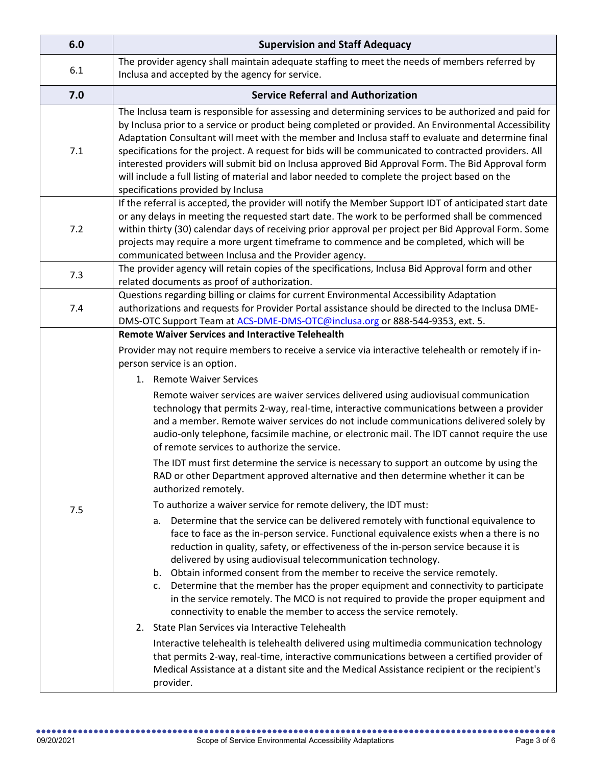| 6.0 | <b>Supervision and Staff Adequacy</b>                                                                                                                                                                                                                                                                                                                                                                                                                                                                                                                                                                                                                                                                                                                                                                                                                                                                                                                                                                                                                                                                                                                                                                                                                                                                                                                                                                                                                                                                                                                                                                                                                                                                                                                                                                                                                                                                                                                                                        |
|-----|----------------------------------------------------------------------------------------------------------------------------------------------------------------------------------------------------------------------------------------------------------------------------------------------------------------------------------------------------------------------------------------------------------------------------------------------------------------------------------------------------------------------------------------------------------------------------------------------------------------------------------------------------------------------------------------------------------------------------------------------------------------------------------------------------------------------------------------------------------------------------------------------------------------------------------------------------------------------------------------------------------------------------------------------------------------------------------------------------------------------------------------------------------------------------------------------------------------------------------------------------------------------------------------------------------------------------------------------------------------------------------------------------------------------------------------------------------------------------------------------------------------------------------------------------------------------------------------------------------------------------------------------------------------------------------------------------------------------------------------------------------------------------------------------------------------------------------------------------------------------------------------------------------------------------------------------------------------------------------------------|
| 6.1 | The provider agency shall maintain adequate staffing to meet the needs of members referred by<br>Inclusa and accepted by the agency for service.                                                                                                                                                                                                                                                                                                                                                                                                                                                                                                                                                                                                                                                                                                                                                                                                                                                                                                                                                                                                                                                                                                                                                                                                                                                                                                                                                                                                                                                                                                                                                                                                                                                                                                                                                                                                                                             |
| 7.0 | <b>Service Referral and Authorization</b>                                                                                                                                                                                                                                                                                                                                                                                                                                                                                                                                                                                                                                                                                                                                                                                                                                                                                                                                                                                                                                                                                                                                                                                                                                                                                                                                                                                                                                                                                                                                                                                                                                                                                                                                                                                                                                                                                                                                                    |
| 7.1 | The Inclusa team is responsible for assessing and determining services to be authorized and paid for<br>by Inclusa prior to a service or product being completed or provided. An Environmental Accessibility<br>Adaptation Consultant will meet with the member and Inclusa staff to evaluate and determine final<br>specifications for the project. A request for bids will be communicated to contracted providers. All<br>interested providers will submit bid on Inclusa approved Bid Approval Form. The Bid Approval form<br>will include a full listing of material and labor needed to complete the project based on the<br>specifications provided by Inclusa                                                                                                                                                                                                                                                                                                                                                                                                                                                                                                                                                                                                                                                                                                                                                                                                                                                                                                                                                                                                                                                                                                                                                                                                                                                                                                                        |
| 7.2 | If the referral is accepted, the provider will notify the Member Support IDT of anticipated start date<br>or any delays in meeting the requested start date. The work to be performed shall be commenced<br>within thirty (30) calendar days of receiving prior approval per project per Bid Approval Form. Some<br>projects may require a more urgent timeframe to commence and be completed, which will be<br>communicated between Inclusa and the Provider agency.                                                                                                                                                                                                                                                                                                                                                                                                                                                                                                                                                                                                                                                                                                                                                                                                                                                                                                                                                                                                                                                                                                                                                                                                                                                                                                                                                                                                                                                                                                                        |
| 7.3 | The provider agency will retain copies of the specifications, Inclusa Bid Approval form and other<br>related documents as proof of authorization.                                                                                                                                                                                                                                                                                                                                                                                                                                                                                                                                                                                                                                                                                                                                                                                                                                                                                                                                                                                                                                                                                                                                                                                                                                                                                                                                                                                                                                                                                                                                                                                                                                                                                                                                                                                                                                            |
| 7.4 | Questions regarding billing or claims for current Environmental Accessibility Adaptation<br>authorizations and requests for Provider Portal assistance should be directed to the Inclusa DME-<br>DMS-OTC Support Team at ACS-DME-DMS-OTC@inclusa.org or 888-544-9353, ext. 5.                                                                                                                                                                                                                                                                                                                                                                                                                                                                                                                                                                                                                                                                                                                                                                                                                                                                                                                                                                                                                                                                                                                                                                                                                                                                                                                                                                                                                                                                                                                                                                                                                                                                                                                |
| 7.5 | <b>Remote Waiver Services and Interactive Telehealth</b><br>Provider may not require members to receive a service via interactive telehealth or remotely if in-<br>person service is an option.<br>1. Remote Waiver Services<br>Remote waiver services are waiver services delivered using audiovisual communication<br>technology that permits 2-way, real-time, interactive communications between a provider<br>and a member. Remote waiver services do not include communications delivered solely by<br>audio-only telephone, facsimile machine, or electronic mail. The IDT cannot require the use<br>of remote services to authorize the service.<br>The IDT must first determine the service is necessary to support an outcome by using the<br>RAD or other Department approved alternative and then determine whether it can be<br>authorized remotely.<br>To authorize a waiver service for remote delivery, the IDT must:<br>Determine that the service can be delivered remotely with functional equivalence to<br>а.<br>face to face as the in-person service. Functional equivalence exists when a there is no<br>reduction in quality, safety, or effectiveness of the in-person service because it is<br>delivered by using audiovisual telecommunication technology.<br>b. Obtain informed consent from the member to receive the service remotely.<br>Determine that the member has the proper equipment and connectivity to participate<br>c.<br>in the service remotely. The MCO is not required to provide the proper equipment and<br>connectivity to enable the member to access the service remotely.<br>State Plan Services via Interactive Telehealth<br>2.<br>Interactive telehealth is telehealth delivered using multimedia communication technology<br>that permits 2-way, real-time, interactive communications between a certified provider of<br>Medical Assistance at a distant site and the Medical Assistance recipient or the recipient's<br>provider. |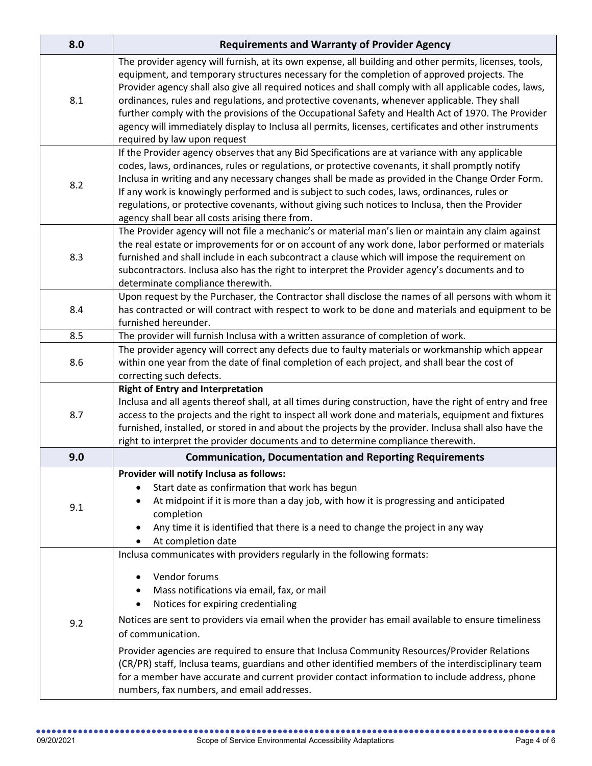| 8.0 | <b>Requirements and Warranty of Provider Agency</b>                                                                                                                                                                                                                                                                                                                                                                                                                                                                                                                                                                                                          |
|-----|--------------------------------------------------------------------------------------------------------------------------------------------------------------------------------------------------------------------------------------------------------------------------------------------------------------------------------------------------------------------------------------------------------------------------------------------------------------------------------------------------------------------------------------------------------------------------------------------------------------------------------------------------------------|
| 8.1 | The provider agency will furnish, at its own expense, all building and other permits, licenses, tools,<br>equipment, and temporary structures necessary for the completion of approved projects. The<br>Provider agency shall also give all required notices and shall comply with all applicable codes, laws,<br>ordinances, rules and regulations, and protective covenants, whenever applicable. They shall<br>further comply with the provisions of the Occupational Safety and Health Act of 1970. The Provider<br>agency will immediately display to Inclusa all permits, licenses, certificates and other instruments<br>required by law upon request |
| 8.2 | If the Provider agency observes that any Bid Specifications are at variance with any applicable<br>codes, laws, ordinances, rules or regulations, or protective covenants, it shall promptly notify<br>Inclusa in writing and any necessary changes shall be made as provided in the Change Order Form.<br>If any work is knowingly performed and is subject to such codes, laws, ordinances, rules or<br>regulations, or protective covenants, without giving such notices to Inclusa, then the Provider<br>agency shall bear all costs arising there from.                                                                                                 |
| 8.3 | The Provider agency will not file a mechanic's or material man's lien or maintain any claim against<br>the real estate or improvements for or on account of any work done, labor performed or materials<br>furnished and shall include in each subcontract a clause which will impose the requirement on<br>subcontractors. Inclusa also has the right to interpret the Provider agency's documents and to<br>determinate compliance therewith.                                                                                                                                                                                                              |
| 8.4 | Upon request by the Purchaser, the Contractor shall disclose the names of all persons with whom it<br>has contracted or will contract with respect to work to be done and materials and equipment to be<br>furnished hereunder.                                                                                                                                                                                                                                                                                                                                                                                                                              |
| 8.5 | The provider will furnish Inclusa with a written assurance of completion of work.                                                                                                                                                                                                                                                                                                                                                                                                                                                                                                                                                                            |
| 8.6 | The provider agency will correct any defects due to faulty materials or workmanship which appear<br>within one year from the date of final completion of each project, and shall bear the cost of<br>correcting such defects.                                                                                                                                                                                                                                                                                                                                                                                                                                |
| 8.7 | <b>Right of Entry and Interpretation</b><br>Inclusa and all agents thereof shall, at all times during construction, have the right of entry and free<br>access to the projects and the right to inspect all work done and materials, equipment and fixtures<br>furnished, installed, or stored in and about the projects by the provider. Inclusa shall also have the<br>right to interpret the provider documents and to determine compliance therewith.                                                                                                                                                                                                    |
| 9.0 | <b>Communication, Documentation and Reporting Requirements</b>                                                                                                                                                                                                                                                                                                                                                                                                                                                                                                                                                                                               |
| 9.1 | Provider will notify Inclusa as follows:<br>Start date as confirmation that work has begun<br>At midpoint if it is more than a day job, with how it is progressing and anticipated<br>completion<br>Any time it is identified that there is a need to change the project in any way<br>At completion date                                                                                                                                                                                                                                                                                                                                                    |
| 9.2 | Inclusa communicates with providers regularly in the following formats:<br>Vendor forums<br>Mass notifications via email, fax, or mail<br>Notices for expiring credentialing<br>Notices are sent to providers via email when the provider has email available to ensure timeliness<br>of communication.<br>Provider agencies are required to ensure that Inclusa Community Resources/Provider Relations<br>(CR/PR) staff, Inclusa teams, guardians and other identified members of the interdisciplinary team<br>for a member have accurate and current provider contact information to include address, phone<br>numbers, fax numbers, and email addresses. |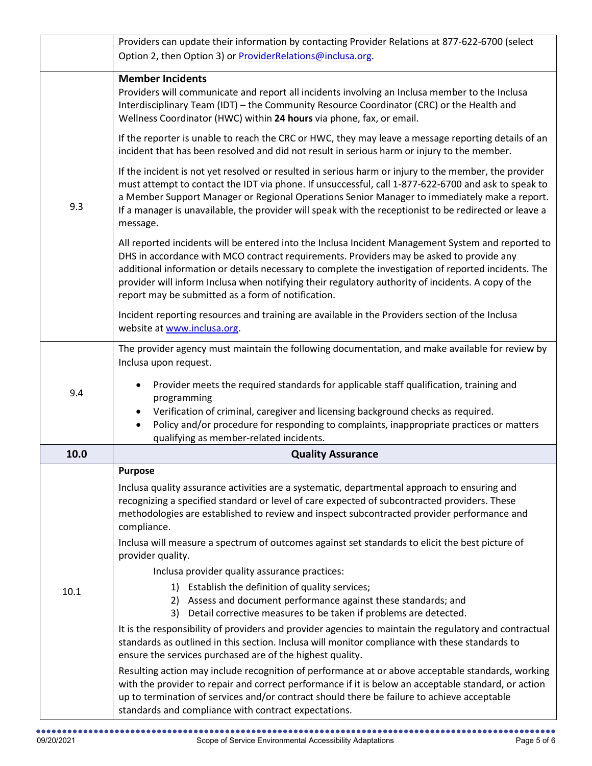|      | Providers can update their information by contacting Provider Relations at 877-622-6700 (select                                                                                                                                                                                                                                                                                                                                                                   |
|------|-------------------------------------------------------------------------------------------------------------------------------------------------------------------------------------------------------------------------------------------------------------------------------------------------------------------------------------------------------------------------------------------------------------------------------------------------------------------|
|      | Option 2, then Option 3) or ProviderRelations@inclusa.org.                                                                                                                                                                                                                                                                                                                                                                                                        |
| 9.3  | <b>Member Incidents</b><br>Providers will communicate and report all incidents involving an Inclusa member to the Inclusa<br>Interdisciplinary Team (IDT) - the Community Resource Coordinator (CRC) or the Health and<br>Wellness Coordinator (HWC) within 24 hours via phone, fax, or email.                                                                                                                                                                    |
|      | If the reporter is unable to reach the CRC or HWC, they may leave a message reporting details of an<br>incident that has been resolved and did not result in serious harm or injury to the member.                                                                                                                                                                                                                                                                |
|      | If the incident is not yet resolved or resulted in serious harm or injury to the member, the provider<br>must attempt to contact the IDT via phone. If unsuccessful, call 1-877-622-6700 and ask to speak to<br>a Member Support Manager or Regional Operations Senior Manager to immediately make a report.<br>If a manager is unavailable, the provider will speak with the receptionist to be redirected or leave a<br>message.                                |
|      | All reported incidents will be entered into the Inclusa Incident Management System and reported to<br>DHS in accordance with MCO contract requirements. Providers may be asked to provide any<br>additional information or details necessary to complete the investigation of reported incidents. The<br>provider will inform Inclusa when notifying their regulatory authority of incidents. A copy of the<br>report may be submitted as a form of notification. |
|      | Incident reporting resources and training are available in the Providers section of the Inclusa<br>website at www.inclusa.org.                                                                                                                                                                                                                                                                                                                                    |
|      | The provider agency must maintain the following documentation, and make available for review by<br>Inclusa upon request.                                                                                                                                                                                                                                                                                                                                          |
| 9.4  | Provider meets the required standards for applicable staff qualification, training and<br>programming<br>Verification of criminal, caregiver and licensing background checks as required.<br>Policy and/or procedure for responding to complaints, inappropriate practices or matters                                                                                                                                                                             |
| 10.0 | qualifying as member-related incidents.<br><b>Quality Assurance</b>                                                                                                                                                                                                                                                                                                                                                                                               |
|      | <b>Purpose</b>                                                                                                                                                                                                                                                                                                                                                                                                                                                    |
| 10.1 | Inclusa quality assurance activities are a systematic, departmental approach to ensuring and<br>recognizing a specified standard or level of care expected of subcontracted providers. These<br>methodologies are established to review and inspect subcontracted provider performance and<br>compliance.                                                                                                                                                         |
|      | Inclusa will measure a spectrum of outcomes against set standards to elicit the best picture of<br>provider quality.                                                                                                                                                                                                                                                                                                                                              |
|      | Inclusa provider quality assurance practices:                                                                                                                                                                                                                                                                                                                                                                                                                     |
|      | 1) Establish the definition of quality services;<br>2) Assess and document performance against these standards; and<br>3) Detail corrective measures to be taken if problems are detected.                                                                                                                                                                                                                                                                        |
|      | It is the responsibility of providers and provider agencies to maintain the regulatory and contractual<br>standards as outlined in this section. Inclusa will monitor compliance with these standards to<br>ensure the services purchased are of the highest quality.                                                                                                                                                                                             |
|      | Resulting action may include recognition of performance at or above acceptable standards, working<br>with the provider to repair and correct performance if it is below an acceptable standard, or action<br>up to termination of services and/or contract should there be failure to achieve acceptable<br>standards and compliance with contract expectations.                                                                                                  |